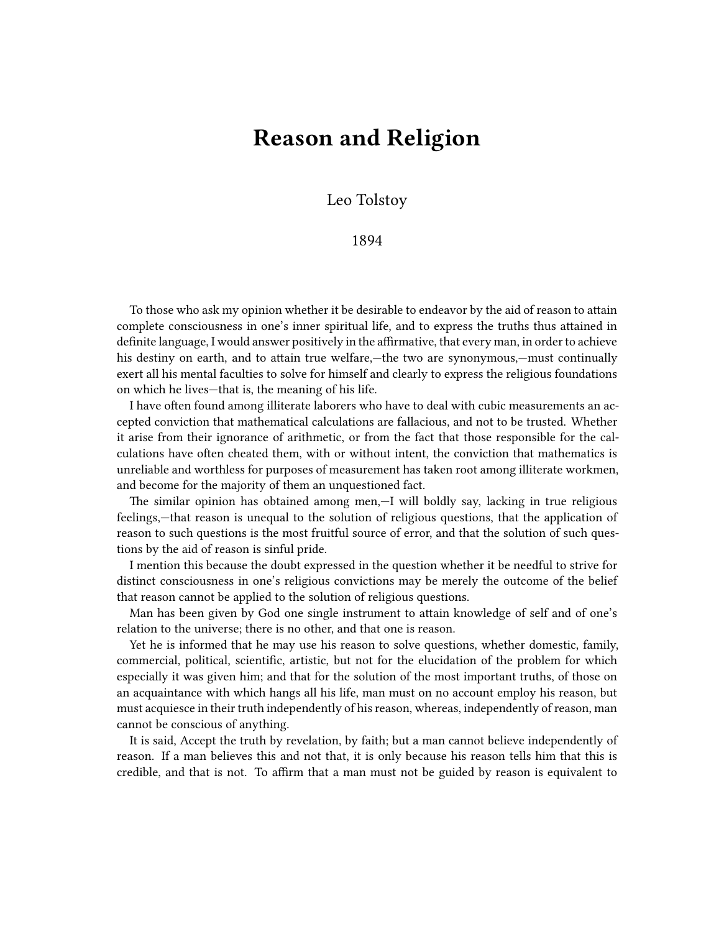## **Reason and Religion**

Leo Tolstoy

1894

To those who ask my opinion whether it be desirable to endeavor by the aid of reason to attain complete consciousness in one's inner spiritual life, and to express the truths thus attained in definite language, I would answer positively in the affirmative, that every man, in order to achieve his destiny on earth, and to attain true welfare,—the two are synonymous,—must continually exert all his mental faculties to solve for himself and clearly to express the religious foundations on which he lives—that is, the meaning of his life.

I have often found among illiterate laborers who have to deal with cubic measurements an accepted conviction that mathematical calculations are fallacious, and not to be trusted. Whether it arise from their ignorance of arithmetic, or from the fact that those responsible for the calculations have often cheated them, with or without intent, the conviction that mathematics is unreliable and worthless for purposes of measurement has taken root among illiterate workmen, and become for the majority of them an unquestioned fact.

The similar opinion has obtained among men,—I will boldly say, lacking in true religious feelings,—that reason is unequal to the solution of religious questions, that the application of reason to such questions is the most fruitful source of error, and that the solution of such questions by the aid of reason is sinful pride.

I mention this because the doubt expressed in the question whether it be needful to strive for distinct consciousness in one's religious convictions may be merely the outcome of the belief that reason cannot be applied to the solution of religious questions.

Man has been given by God one single instrument to attain knowledge of self and of one's relation to the universe; there is no other, and that one is reason.

Yet he is informed that he may use his reason to solve questions, whether domestic, family, commercial, political, scientific, artistic, but not for the elucidation of the problem for which especially it was given him; and that for the solution of the most important truths, of those on an acquaintance with which hangs all his life, man must on no account employ his reason, but must acquiesce in their truth independently of his reason, whereas, independently of reason, man cannot be conscious of anything.

It is said, Accept the truth by revelation, by faith; but a man cannot believe independently of reason. If a man believes this and not that, it is only because his reason tells him that this is credible, and that is not. To affirm that a man must not be guided by reason is equivalent to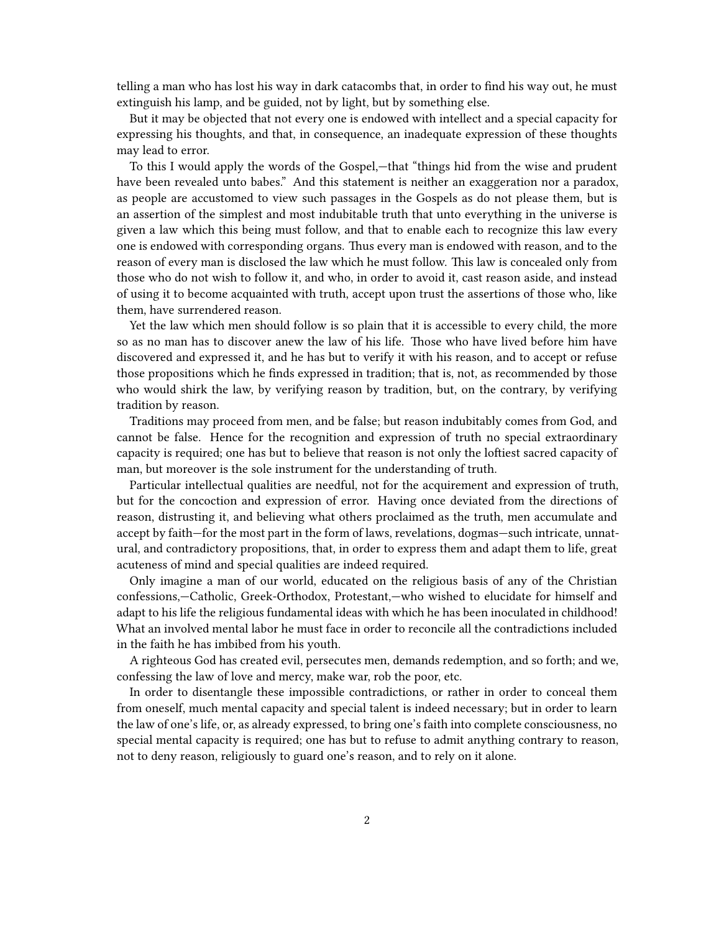telling a man who has lost his way in dark catacombs that, in order to find his way out, he must extinguish his lamp, and be guided, not by light, but by something else.

But it may be objected that not every one is endowed with intellect and a special capacity for expressing his thoughts, and that, in consequence, an inadequate expression of these thoughts may lead to error.

To this I would apply the words of the Gospel,—that "things hid from the wise and prudent have been revealed unto babes." And this statement is neither an exaggeration nor a paradox, as people are accustomed to view such passages in the Gospels as do not please them, but is an assertion of the simplest and most indubitable truth that unto everything in the universe is given a law which this being must follow, and that to enable each to recognize this law every one is endowed with corresponding organs. Thus every man is endowed with reason, and to the reason of every man is disclosed the law which he must follow. This law is concealed only from those who do not wish to follow it, and who, in order to avoid it, cast reason aside, and instead of using it to become acquainted with truth, accept upon trust the assertions of those who, like them, have surrendered reason.

Yet the law which men should follow is so plain that it is accessible to every child, the more so as no man has to discover anew the law of his life. Those who have lived before him have discovered and expressed it, and he has but to verify it with his reason, and to accept or refuse those propositions which he finds expressed in tradition; that is, not, as recommended by those who would shirk the law, by verifying reason by tradition, but, on the contrary, by verifying tradition by reason.

Traditions may proceed from men, and be false; but reason indubitably comes from God, and cannot be false. Hence for the recognition and expression of truth no special extraordinary capacity is required; one has but to believe that reason is not only the loftiest sacred capacity of man, but moreover is the sole instrument for the understanding of truth.

Particular intellectual qualities are needful, not for the acquirement and expression of truth, but for the concoction and expression of error. Having once deviated from the directions of reason, distrusting it, and believing what others proclaimed as the truth, men accumulate and accept by faith—for the most part in the form of laws, revelations, dogmas—such intricate, unnatural, and contradictory propositions, that, in order to express them and adapt them to life, great acuteness of mind and special qualities are indeed required.

Only imagine a man of our world, educated on the religious basis of any of the Christian confessions,—Catholic, Greek-Orthodox, Protestant,—who wished to elucidate for himself and adapt to his life the religious fundamental ideas with which he has been inoculated in childhood! What an involved mental labor he must face in order to reconcile all the contradictions included in the faith he has imbibed from his youth.

A righteous God has created evil, persecutes men, demands redemption, and so forth; and we, confessing the law of love and mercy, make war, rob the poor, etc.

In order to disentangle these impossible contradictions, or rather in order to conceal them from oneself, much mental capacity and special talent is indeed necessary; but in order to learn the law of one's life, or, as already expressed, to bring one's faith into complete consciousness, no special mental capacity is required; one has but to refuse to admit anything contrary to reason, not to deny reason, religiously to guard one's reason, and to rely on it alone.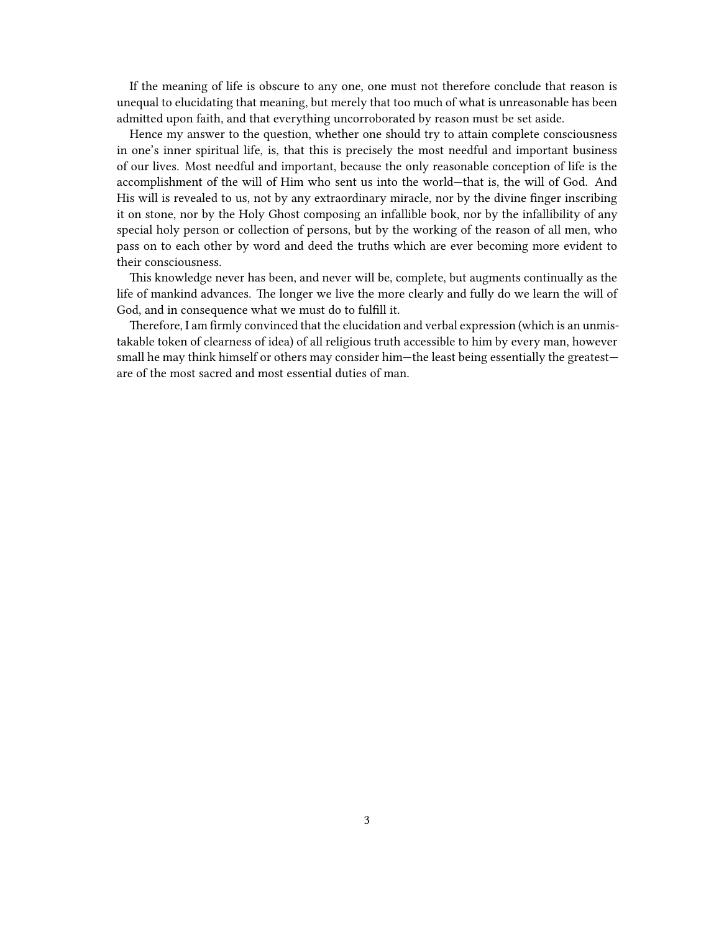If the meaning of life is obscure to any one, one must not therefore conclude that reason is unequal to elucidating that meaning, but merely that too much of what is unreasonable has been admitted upon faith, and that everything uncorroborated by reason must be set aside.

Hence my answer to the question, whether one should try to attain complete consciousness in one's inner spiritual life, is, that this is precisely the most needful and important business of our lives. Most needful and important, because the only reasonable conception of life is the accomplishment of the will of Him who sent us into the world—that is, the will of God. And His will is revealed to us, not by any extraordinary miracle, nor by the divine finger inscribing it on stone, nor by the Holy Ghost composing an infallible book, nor by the infallibility of any special holy person or collection of persons, but by the working of the reason of all men, who pass on to each other by word and deed the truths which are ever becoming more evident to their consciousness.

This knowledge never has been, and never will be, complete, but augments continually as the life of mankind advances. The longer we live the more clearly and fully do we learn the will of God, and in consequence what we must do to fulfill it.

Therefore, I am firmly convinced that the elucidation and verbal expression (which is an unmistakable token of clearness of idea) of all religious truth accessible to him by every man, however small he may think himself or others may consider him—the least being essentially the greatest are of the most sacred and most essential duties of man.